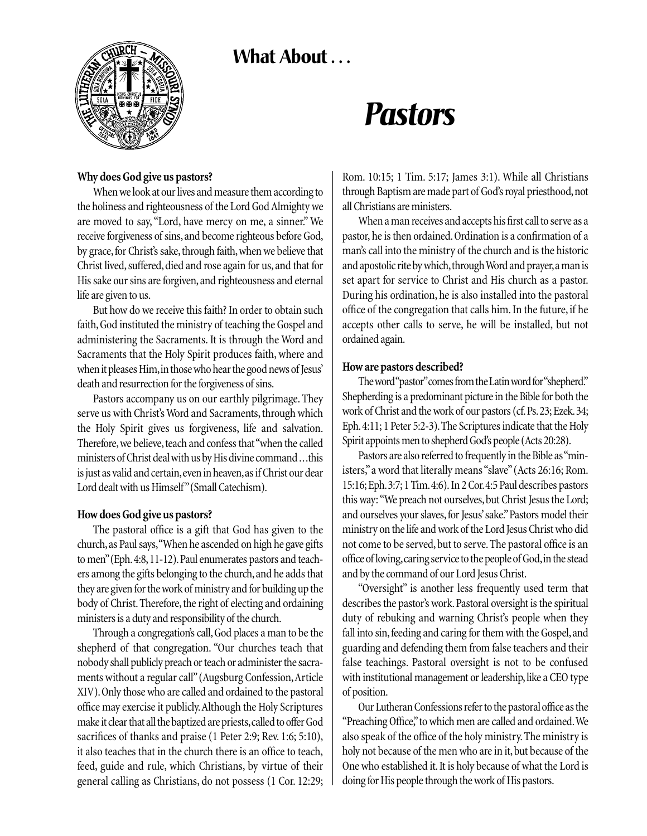# What About ...



# *Pastors*

### **Why does God give us pastors?**

When we look at our lives and measure them according to the holiness and righteousness of the Lord God Almighty we are moved to say, "Lord, have mercy on me, a sinner." We receive forgiveness of sins, and become righteous before God, by grace, for Christ's sake, through faith, when we believe that Christ lived, suffered, died and rose again for us, and that for His sake our sins are forgiven, and righteousness and eternal life are given to us.

But how do we receive this faith? In order to obtain such faith, God instituted the ministry of teaching the Gospel and administering the Sacraments. It is through the Word and Sacraments that the Holy Spirit produces faith, where and when it pleases Him,in those who hear the good news of Jesus' death and resurrection for the forgiveness of sins.

Pastors accompany us on our earthly pilgrimage. They serve us with Christ's Word and Sacraments, through which the Holy Spirit gives us forgiveness, life and salvation. Therefore, we believe, teach and confess that "when the called ministers of Christ deal with us by His divine command ...this is just as valid and certain, even in heaven, as if Christ our dear Lord dealt with us Himself"(Small Catechism).

### **How does God give us pastors?**

The pastoral office is a gift that God has given to the church,as Paul says,"When he ascended on high he gave gifts to men" (Eph. 4:8, 11-12). Paul enumerates pastors and teachers among the gifts belonging to the church, and he adds that they are given for the work of ministry and for building up the body of Christ.Therefore, the right of electing and ordaining ministers is a duty and responsibility of the church.

Through a congregation's call,God places a man to be the shepherd of that congregation. "Our churches teach that nobody shall publicly preach or teach or administer the sacraments without a regular call"(Augsburg Confession,Article XIV).Only those who are called and ordained to the pastoral office may exercise it publicly.Although the Holy Scriptures make it clear that all the baptized are priests,called to offer God sacrifices of thanks and praise (1 Peter 2:9; Rev. 1:6; 5:10), it also teaches that in the church there is an office to teach, feed, guide and rule, which Christians, by virtue of their general calling as Christians, do not possess (1 Cor. 12:29; Rom. 10:15; 1 Tim. 5:17; James 3:1). While all Christians through Baptism are made part of God's royal priesthood,not all Christians are ministers.

When a man receives and accepts his first call to serve as a pastor, he is then ordained.Ordination is a confirmation of a man's call into the ministry of the church and is the historic and apostolic rite by which, through Word and prayer, a man is set apart for service to Christ and His church as a pastor. During his ordination, he is also installed into the pastoral office of the congregation that calls him. In the future, if he accepts other calls to serve, he will be installed, but not ordained again.

## **How are pastors described?**

The word "pastor"comes from the Latin word for "shepherd." Shepherding is a predominant picture in the Bible for both the work of Christ and the work of our pastors (cf.Ps.23; Ezek.34; Eph.4:11; 1 Peter 5:2-3).The Scriptures indicate that the Holy Spirit appoints men to shepherd God's people (Acts 20:28).

Pastors are also referred to frequently in the Bible as "ministers,"a word that literally means "slave"(Acts 26:16; Rom. 15:16; Eph.3:7; 1 Tim.4:6). In 2 Cor.4:5 Paul describes pastors this way: "We preach not ourselves, but Christ Jesus the Lord; and ourselves your slaves, for Jesus' sake." Pastors model their ministry on the life and work of the Lord Jesus Christ who did not come to be served, but to serve. The pastoral office is an office of loving,caring service to the people of God,in the stead and by the command of our Lord Jesus Christ.

"Oversight" is another less frequently used term that describes the pastor's work. Pastoral oversight is the spiritual duty of rebuking and warning Christ's people when they fall into sin, feeding and caring for them with the Gospel, and guarding and defending them from false teachers and their false teachings. Pastoral oversight is not to be confused with institutional management or leadership, like a CEO type of position.

Our Lutheran Confessions refer to the pastoral office as the "Preaching Office,"to which men are called and ordained.We also speak of the office of the holy ministry. The ministry is holy not because of the men who are in it, but because of the One who established it. It is holy because of what the Lord is doing for His people through the work of His pastors.